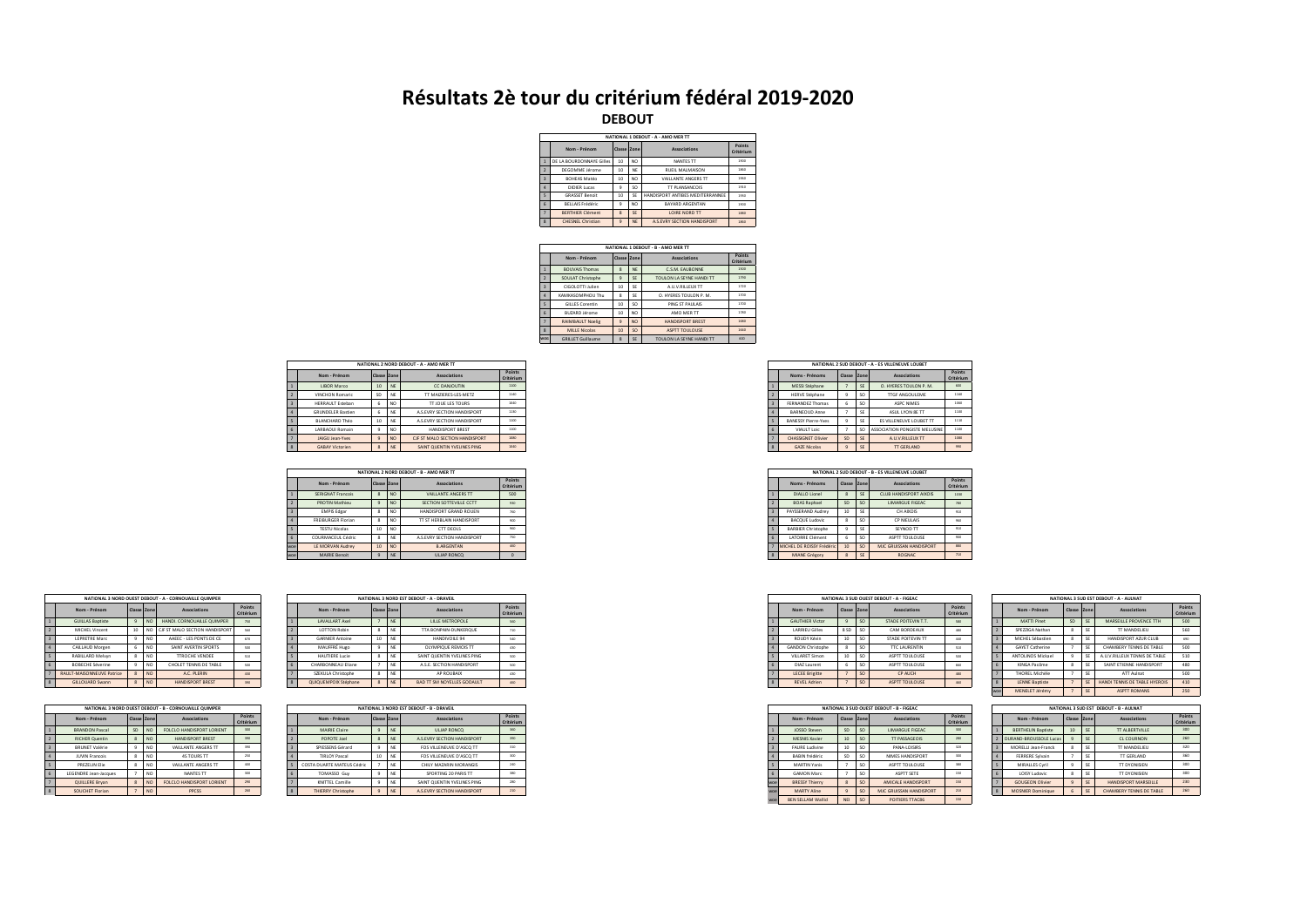## **Résultats 2è tour du critérium fédéral 2019-2020**

**DEBOUT**

|   |                          |                |                 | NATIONAL 1 DEROUT - A - AMO MER TT |      |  |  |  |  |
|---|--------------------------|----------------|-----------------|------------------------------------|------|--|--|--|--|
|   | Nom - Prénom             | Classe Zone    |                 | Associations                       |      |  |  |  |  |
|   | DE LA BOURDONNAYE Gilles | 10             | NO <sub>1</sub> | NANTES TT                          | 1900 |  |  |  |  |
|   | DEGOMME lécome           | 10             | <b>NF</b>       | <b><i>RUFIL MAI MAISON</i></b>     | 1850 |  |  |  |  |
| ٩ | <b>ROHEAS Matéo</b>      | 10             | NO <sub>1</sub> | VAILLANTE ANGERS TT                | 1950 |  |  |  |  |
|   | DIDIER Lucas             | $\overline{9}$ | SO.             | TT PLANSANCOIS                     | 1910 |  |  |  |  |
| ¢ | <b>GRASSET Rennit</b>    | 10             | SF              | HANDISPORT ANTIBES MEDITERRANNEE   | 1930 |  |  |  |  |
| ĥ | <b>RELLAIS Frédéric</b>  | $\ddot{q}$     | NO <sub>1</sub> | <b>RAYARD ARGENTAN</b>             | 1900 |  |  |  |  |
|   | <b>RERTHIER Clément</b>  | 8              | SE              | LOIRE NORD TT                      | 1880 |  |  |  |  |
| × | <b>CHESNEL Christian</b> | $\ddot{q}$     | <b>NE</b>       | A S EVRY SECTION HANDISPORT        | 1850 |  |  |  |  |

|                          | NATIONAL 1 DEBOUT - B - AMO MER TT |              |                 |                          |                     |  |  |  |  |  |  |  |  |
|--------------------------|------------------------------------|--------------|-----------------|--------------------------|---------------------|--|--|--|--|--|--|--|--|
|                          | Nom - Prénom                       | Classe Zone  |                 | Associations             | Points<br>Critérium |  |  |  |  |  |  |  |  |
|                          | <b>ROUVAIS Thomas</b>              | $\mathbf{R}$ | <b>NF</b>       | CSM FAURONNE             | 1500                |  |  |  |  |  |  |  |  |
| $\mathcal{D}$            | SOULAT Christophe                  | $\ddot{q}$   | SE              | TOULON LA SEYNE HANDI TT | 1790                |  |  |  |  |  |  |  |  |
| $\overline{z}$           | CIGOLOTTI Iulien                   | 10           | SF              | A 11 V RILLELIX TT       | 1720                |  |  |  |  |  |  |  |  |
| <b>A</b>                 | ΚΑΜΚΑΝΟΜΡΗΟΗ ΤΗΗ                   | Ř            | SE              | O. HYERES TOULON P. M.   | 1200                |  |  |  |  |  |  |  |  |
| $\overline{\phantom{a}}$ | GILLES Corentin                    | 10           | SO.             | PING ST PAULAIS          | 1700                |  |  |  |  |  |  |  |  |
| $\mathbf{g}$             | <b>BUZARD lérome</b>               | 10           | NO <sub>1</sub> | AMO MER TT               | 1780                |  |  |  |  |  |  |  |  |
| $\overline{z}$           | <b>RAIMBAULT Noelig</b>            | $\ddot{q}$   | NO <sub></sub>  | HANDISPORT RREST         | 1680                |  |  |  |  |  |  |  |  |
| $\mathcal{R}$            | <b>MILLE Nicolas</b>               | 10           | SO <sub>1</sub> | <b>ASPTT TOULOUSE</b>    | 1640                |  |  |  |  |  |  |  |  |
| <b>WOG</b>               | <b>GRILLET Guillaume</b>           | $\mathbf{R}$ | SE              | TOULON LA SEYNE HANDI TT | 600                 |  |  |  |  |  |  |  |  |
|                          |                                    |              |                 |                          |                     |  |  |  |  |  |  |  |  |

|                |                          |             |           | NATIONAL 2 NORD DEBOUT - A - AMO MER TT |                     |
|----------------|--------------------------|-------------|-----------|-----------------------------------------|---------------------|
|                | Nom - Prénom             | Classe Zone |           | <b>Associations</b>                     | Points<br>Critérium |
|                | LIBOR Marco              | 10          | NE        | CC DANJOUTIN                            | 1100                |
|                | <b>VINCHON Romaric</b>   | SD          | NE        | TT MAIZIERES-LES-METZ                   | 1140                |
|                | <b>HERRAULT Esteban</b>  |             | NO        | <b>TT JOUE LES TOURS</b>                | 1040                |
|                | <b>GRUNDELER Bastien</b> |             | NE        | A.S.EVRY SECTION HANDISPORT             | 1130                |
|                | BLANCHARD Théo           | 10          | NE        | A.S.EVRY SECTION HANDISPORT             | 1100                |
| 6              | LARBAOUI Romain          |             | NO        | HANDISPORT BREST                        | 1100                |
| 7 <sup>1</sup> | JAIGU Jean-Yves          |             | <b>NO</b> | CJF ST MALO SECTION HANDISPORT          | 1080                |
| 8              | <b>GABAY Victorien</b>   |             | NE        | SAINT QUENTIN YVELINES PING             | 1040                |

|     |                           |             |                 | NATIONAL 2 NORD DEBOUT - B - AMO MER TT |                     |
|-----|---------------------------|-------------|-----------------|-----------------------------------------|---------------------|
|     | Nom - Prénom              | Classe Zone |                 | Associations                            | Points<br>Critérium |
| 1   | SERIGNAT Francois         |             | <b>NO</b>       | VAILLANTE ANGERS TT                     | 500                 |
|     | <b>PROTIN Mathieu</b>     |             | NO              | SECTION SOTTEVILLE CCTT                 | 930                 |
|     | <b>EMPIS Edgar</b>        |             | NO              | HANDISPORT GRAND ROUEN                  | 760                 |
|     | <b>FREIBURGER Florian</b> |             | NC              | TT ST HERBLAIN HANDISPORT               | 900                 |
|     | <b>TESTU Nicolas</b>      | 10          | NO <sub>1</sub> | CTT DEOLS                               | 950                 |
|     | COURMACEUL Cédric         |             |                 | A.S.EVRY SECTION HANDISPORT             | 750                 |
| woe | LE MORVAN Audrey          | 10          | NO <sub>1</sub> | <b>B.ARGENTAN</b>                       | 450                 |
| woe | MAIRIE Benoit             |             |                 | ULIAP RONCO                             |                     |

|                    | NATIONAL 3 NORD OUEST DEBOUT - A - CORNOUAILLE OUIMPER |             |                 |                                |                     |  |  |  |  |  |  |  |  |  |
|--------------------|--------------------------------------------------------|-------------|-----------------|--------------------------------|---------------------|--|--|--|--|--|--|--|--|--|
|                    | Nom - Prénom                                           | Classe Zone |                 | Associations                   | Points<br>Critérium |  |  |  |  |  |  |  |  |  |
|                    | <b>GUILLAS Baptiste</b>                                | 9           | NO              | HANDI, CORNOUAILLE QUIMPER     | 750                 |  |  |  |  |  |  |  |  |  |
|                    | MICHEL Vincent                                         | 10          | NO              | CJF ST MALO SECTION HANDISPORT | 550                 |  |  |  |  |  |  |  |  |  |
| $\overline{a}$     | <b>LEPRETRE Marc</b>                                   | 9           | NO <sub>1</sub> | AAFFC - LES PONTS DE CE        | 670                 |  |  |  |  |  |  |  |  |  |
| ۵                  | CAILLAUD Morgen                                        | 6           | NO <sub>1</sub> | SAINT AVERTIN SPORTS           | 500                 |  |  |  |  |  |  |  |  |  |
| ¢                  | RABILLARD Melvyn                                       | Ŕ           | NO <sub>1</sub> | <b>TTROCHE VENDEE</b>          | 510                 |  |  |  |  |  |  |  |  |  |
| ĥ.                 | <b>ROBECHE Séverine</b>                                | 9           | NO <sub>1</sub> | CHOLET TENNIS DE TABLE         | son                 |  |  |  |  |  |  |  |  |  |
|                    | <b>RAULT-MAISONNEUVE Patrice</b>                       | Ŕ           | NO <sub>1</sub> | AC PLERIN                      | 430                 |  |  |  |  |  |  |  |  |  |
| $\mathbf{\hat{x}}$ | GILLOUARD Swann                                        | 8           | NO <sub></sub>  | HANDISPORT RREST               | 390                 |  |  |  |  |  |  |  |  |  |

|                |                              |                    |                | NATIONAL 3 NORD OUEST DEBOUT - B - CORNOUAILLE OUIMPER |                     |
|----------------|------------------------------|--------------------|----------------|--------------------------------------------------------|---------------------|
|                | Nom - Prénom                 | Classe Zone        |                | Associations                                           | Points<br>Critérium |
|                | <b>BRANDON Pascal</b>        | SD                 | NO             | FOLCLO HANDISPORT LORIENT                              | ann                 |
|                | <b>RICHER Quentin</b>        | $\mathbf{\hat{z}}$ | NO.            | HANDISPORT RREST                                       | 220                 |
| $\overline{a}$ | <b>RRUNET Valérie</b>        | 9                  | NO.            | VAILLANTE ANGERS TT                                    | 720                 |
|                | <b>ILIVIN Francois</b>       | Ŕ                  | NO.            | <b>4S TOURS TT</b>                                     | 250                 |
| ¢              | PREZELIN Flie                | R                  | NO.            | VAILLANTE ANGERS TT                                    | 400                 |
| ĥ              | <b>LEGENDRE Jean-Jacques</b> |                    | NO.            | NANTES TT                                              | 300                 |
|                | QUILLERE Brvan               | $\hat{\mathbf{x}}$ | NO <sub></sub> | FOLCLO HANDISPORT LORIENT                              | 220                 |
| ×              | SOUCHET Florian              |                    | NO <sub></sub> | PPCSS                                                  | 250                 |

|  |                           |           | NATIONAL 3 NORD OUEST DEBOUT - A - CORNOUAILLE QUIMPER |                    |  |                          |            | NATIONAL 3 NORD EST DEBOUT - A - DRAVEIL |                     |
|--|---------------------------|-----------|--------------------------------------------------------|--------------------|--|--------------------------|------------|------------------------------------------|---------------------|
|  | Nom - Prénom              |           | <b>Associations</b>                                    | Points<br>Critéria |  | Nom - Prénom             |            | Associations                             | Points<br>Critérium |
|  | <b>GUILLAS Baptiste</b>   |           | HANDI, CORNOUAILLE QUIMPER                             |                    |  | LAVALLART Axel           |            | LILLE METROPOLE                          | 500                 |
|  | MICHEL Vincent            |           | NO CIF ST MALO SECTION HANDISPORT                      |                    |  | <b>LOTTON Robin</b>      | <b>INF</b> | TTA BONPAIN-DUNKEROUE                    | 710                 |
|  | LEPRETRE Marc             |           | AAEEC - LES PONTS DE CE                                |                    |  | <b>GARNIER Antoine</b>   |            | HANDIVOILE 94                            | 540                 |
|  | CAILLAUD Morgen           |           | SAINT AVERTIN SPORTS                                   |                    |  | MAUFFRÉ Hugo             |            | OLYMPIQUE REMOIS TT                      | 430                 |
|  | RABILLARD Melwn           |           | <b>TTROCHE VENDEE</b>                                  |                    |  | <b>HAUTIERE Lucie</b>    |            | SAINT QUENTIN YVELINES PING              | 500                 |
|  | <b>BOBECHE Séverine</b>   |           | CHOLET TENNIS DE TABLE                                 |                    |  | <b>HARBONNEAU Eliane</b> |            | A.S.E. SECTION HANDISPORT                | 500                 |
|  | RAULT-MAISONNEUVE Patrice |           | A.C. PLERIN                                            |                    |  | SZEKULA Christophe       |            | AP ROUBAIX                               | 430                 |
|  | GILLOUARD Swann           | <b>NO</b> | HANDISPORT BREST                                       |                    |  | QUIQUEMPOIX Stéphane     |            | BAD TT SM NOYELLES GODAULT               | 460                 |
|  |                           |           |                                                        |                    |  |                          |            |                                          |                     |

|                       |       | NATIONAL 3 NORD OUEST DEBOUT - B - CORNOUAILLE OUIMPER |                   |  |                            | NATIONAL 3 NORD EST DEBOUT - B - DRAVEIL |                     |
|-----------------------|-------|--------------------------------------------------------|-------------------|--|----------------------------|------------------------------------------|---------------------|
| Nom - Prénom          |       | <b>Associations</b>                                    | Points<br>Critéri |  | Nom - Prénom               | Associations                             | Points<br>Critériun |
|                       |       |                                                        |                   |  |                            |                                          |                     |
| <b>BRANDON Pascal</b> | SD NO | FOLCLO HANDISPORT LORIENT                              |                   |  | MAIRIE Claire              | ULIAP RONCO                              | 350                 |
| <b>RICHER Quentin</b> |       | HANDISPORT BREST                                       |                   |  | POPOTE Joel                | A.S.EVRY SECTION HANDISPORT              | 390                 |
| <b>BRUNET Valérie</b> |       | VAILLANTE ANGERS TT                                    |                   |  | SPIESSENS Gérard           | FOS VILLENEUVE D'ASCQ TT                 | 310                 |
| <b>JUVIN Francois</b> |       | <b>4S TOURS TT</b>                                     |                   |  | <b>TIRLOY Pascal</b>       | FOS VILLENEUVE D'ASCO TT                 | 300                 |
| PREZELIN Elie         |       | VAILLANTE ANGERS TT                                    | 400               |  | COSTA DUARTE MATEUS Cédric | CHILY MAZARIN MORANGIS                   | 240                 |
| LEGENDRE Jean-Jacques |       | NANTES TT                                              |                   |  | TOMASSO Guy                | SPORTING 20 PARIS TT                     | 380                 |
| QUILLERE Brvan        |       | FOLCLO HANDISPORT LORIENT                              |                   |  | KNITTEL Camille            | SAINT QUENTIN YVELINES PING              | 280                 |
| SOUCHET Florian       |       | PPCSS                                                  |                   |  | <b>THIERRY Christophe</b>  | A.S. EVRY SECTION HANDISPORT             | 210                 |
|                       |       |                                                        |                   |  |                            |                                          |                     |

| <b>Associations</b><br>Noms - Prénoms<br>Classe Zone<br>MESSI Stéphane<br>O. HYERES TOULON P. M.<br>600<br><b>SE</b><br><b>HERVE Stéphane</b><br>TTGF ANGOULEME<br>FERNANDEZ Thomas<br>ASPC NIMES<br>SO <sub>1</sub><br>ь<br>BARNEOUD Anne<br>ASUL LYON SE TT<br><b>BANESSY Pierre-Yves</b><br>ES VILLENEUVE LOUBET TT<br>VIAULT Loic<br>ASSOCIATION PONGISTE MELUSINE<br>SC<br>SD<br><b>CHASSIGNET Olivier</b><br>A.U.V.RILLEUX TT<br><b>GAZE Nicolas</b><br>TT GERLAND<br>990<br>$\ddot{\mathbf{q}}$<br>SE |  |  |  | NATIONAL 2 SUD DEBOUT - A - ES VILLENEUVE LOUBET |                     |  |
|--------------------------------------------------------------------------------------------------------------------------------------------------------------------------------------------------------------------------------------------------------------------------------------------------------------------------------------------------------------------------------------------------------------------------------------------------------------------------------------------------------------|--|--|--|--------------------------------------------------|---------------------|--|
|                                                                                                                                                                                                                                                                                                                                                                                                                                                                                                              |  |  |  |                                                  | Points<br>Critérium |  |
|                                                                                                                                                                                                                                                                                                                                                                                                                                                                                                              |  |  |  |                                                  |                     |  |
|                                                                                                                                                                                                                                                                                                                                                                                                                                                                                                              |  |  |  |                                                  | 1160                |  |
|                                                                                                                                                                                                                                                                                                                                                                                                                                                                                                              |  |  |  |                                                  | 1050                |  |
|                                                                                                                                                                                                                                                                                                                                                                                                                                                                                                              |  |  |  |                                                  | 1100                |  |
|                                                                                                                                                                                                                                                                                                                                                                                                                                                                                                              |  |  |  |                                                  | 1110                |  |
|                                                                                                                                                                                                                                                                                                                                                                                                                                                                                                              |  |  |  |                                                  | 1100                |  |
|                                                                                                                                                                                                                                                                                                                                                                                                                                                                                                              |  |  |  |                                                  | 1080                |  |
|                                                                                                                                                                                                                                                                                                                                                                                                                                                                                                              |  |  |  |                                                  |                     |  |

|                            | NATIONAL 2 SUD DEBOUT - B - ES VILLENEUVE LOUBET |                           |             |                 |                         |                     |  |  |
|----------------------------|--------------------------------------------------|---------------------------|-------------|-----------------|-------------------------|---------------------|--|--|
| Points<br><b>Critérium</b> |                                                  | Noms - Prénoms            | Classe Zone |                 | <b>Associations</b>     | Points<br>Critérium |  |  |
| 500                        |                                                  | <b>DIALLO Lionel</b>      | 8           | SE              | CLUB HANDISPORT AIXOIS  | 1030                |  |  |
| 930                        |                                                  | <b>BOAS Raphael</b>       | SD          | <sub>SO</sub>   | <b>LIMARGUE FIGEAC</b>  | 780                 |  |  |
| 760                        |                                                  | PAYSSERAND Audrey         | 10          | SE              | CH AIXOIS               | 910                 |  |  |
| 900                        |                                                  | <b>BACQUE Ludovic</b>     | 8           | SO <sub>1</sub> | <b>CP NIEULAIS</b>      | 950                 |  |  |
| 950                        |                                                  | <b>BARBIER Christophe</b> | $\circ$     | SE              | SEYNOD TT               | 910                 |  |  |
| 750                        |                                                  | <b>LATORRE Clément</b>    | ъ           | SO <sub>1</sub> | ASPTT TOULOUSE          | 900                 |  |  |
| -460                       |                                                  | MICHEL DE ROISSY Frédéric | 10          | <sub>SO</sub>   | MJC GRUISSAN HANDISPORT | 880                 |  |  |
|                            |                                                  | MIANE Grégory             | 8           | SE              | <b>ROGNAC</b>           | 710                 |  |  |

|  |                          |                |                 | NATIONAL 3 SUD OUEST DEBOUT - A - FIGEAC |                     |
|--|--------------------------|----------------|-----------------|------------------------------------------|---------------------|
|  | Nom - Prénom             | Classe Zone    |                 | <b>Associations</b>                      | Points<br>Critérium |
|  | <b>GAUTHIER Victor</b>   | $\overline{9}$ | <sub>SO</sub>   | STADE POITEVIN T.T.                      | 580                 |
|  | <b>LARRIEU Gilles</b>    | 8 SD           | <sub>SO</sub>   | CAM BORDEAUX                             | 480                 |
|  | ROUDY Kévin              | 10             | <sub>SO</sub>   | STADE POITEVIN TT                        | 440                 |
|  | <b>GANDON Christophe</b> | 8              | SO <sub>1</sub> | <b>TTC LAURENTIN</b>                     | 510                 |
|  | VILLARET Simon           | 10             | <sub>SO</sub>   | ASPTT TOULOUSE                           | 500                 |
|  | DIAZ Laurent             | ь              | SO <sub>1</sub> | ASPTT TOULOUSE                           | 660                 |
|  | <b>LECEE Brigitte</b>    |                | <sub>SO</sub>   | CP AUCH                                  | 480                 |
|  | <b>REVEL Adrien</b>      |                | <sub>SO</sub>   | ASPTT TOULOUSE                           | 460                 |

|     | NATIONAL 3 SUD OUEST DEBOUT - B - FIGEAC |                |                 |                         |                     |  |  |  |
|-----|------------------------------------------|----------------|-----------------|-------------------------|---------------------|--|--|--|
|     | Nom - Prénom                             | Classe Zone    |                 | <b>Associations</b>     | Points<br>Critériur |  |  |  |
|     | JOSSO Steven                             | SD             | <sub>SO</sub>   | <b>LIMARGUE FIGEAC</b>  | 300                 |  |  |  |
|     | <b>MESNIS Xavier</b>                     | 10             | <sub>SO</sub>   | TT PASSAGEOIS           | 280                 |  |  |  |
|     | <b>FAURE Ludivine</b>                    | 10             | <sub>SO</sub>   | PANA-LOISIRS            | 320                 |  |  |  |
|     | BABIN frédéric                           | SD             | SO <sub>1</sub> | NIMES HANDISPORT        | 300                 |  |  |  |
|     | MARTIN Yanis                             |                | <sub>SO</sub>   | ASPTT TOULOUSE          | 380                 |  |  |  |
|     | <b>GAMON Marc</b>                        |                | <sub>SO</sub>   | ASPTT SETE              | 150                 |  |  |  |
| woe | <b>BRESSY Thierry</b>                    | 8              | <sub>SO</sub>   | AMICALE HANDISPORT      | 150                 |  |  |  |
| woe | <b>MARTY Aline</b>                       | $\overline{9}$ | <sub>SO</sub>   | MJC GRUISSAN HANDISPORT | 210                 |  |  |  |
| woo | <b>BEN SELLAM Wallid</b>                 | NEI            | <sub>SO</sub>   | POITIERS TTAC86         | 150                 |  |  |  |

|                     |                |                        |        |           | NATIONAL 3 SUD EST DEROUT - A - AULNAT |                     |
|---------------------|----------------|------------------------|--------|-----------|----------------------------------------|---------------------|
| Points<br>Critérium |                | Nom - Prénom           | Classe | Zone      | <b>Associations</b>                    | Points<br>Critérium |
| 580                 |                | <b>MATTI Pinet</b>     | SD     | SE        | MARSEILLE PROVENCE TTH                 | 500                 |
| 480                 | $\mathcal{P}$  | <b>SPE77IGA Nathan</b> | Ř      | <b>SF</b> | <b>TT MANDELIFLI</b>                   | 560                 |
| 440                 | $\overline{a}$ | MICHEL Sébastien       | Ř      | <b>SF</b> | HANDISPORT AZUR CILIR                  | eso                 |
| 510                 | ۵              | <b>GAYFT Catherine</b> |        | s         | CHAMBERY TENNIS DE TABLE               | 500                 |
| 500                 | Ś              | ANTOLINOS Mickael      | ٥      | s         | A.U.V.RILLEUX TENNIS DE TABLE          | 510                 |
| 65D                 | ĥ              | KINGA Pacôme           | Ŕ      | <b>SF</b> | SAINT FTIENNE HANDISPORT               | 480                 |
| <b>ABO</b>          | ь              | THOREL Michèle         |        | SE        | ATT Aulnat                             | 500                 |
| 460                 | ×              | <b>LENNE Baptiste</b>  |        | SE        | HANDI TENNIS DE TABLE HYEROIS          | 410                 |
|                     | woe            | MENELET Jérémy         |        | SE        | <b>ASPTT ROMANS</b>                    | 250                 |
|                     |                |                        |        |           |                                        |                     |

|                     |                    |                               |              |      | NATIONAL 3 SUD EST. DEROUT - R - AULNAT |                     |
|---------------------|--------------------|-------------------------------|--------------|------|-----------------------------------------|---------------------|
| Points<br>Critérium |                    | Nom - Prénom                  | Classe       | Zone | Associations                            | Points<br>Critérium |
| 300                 |                    | <b>BERTHELIN Baptiste</b>     | 10           | SE   | TT AI RERTVILLE                         | 300                 |
| 280                 |                    | <b>DURAND-BROUSSOLE Lucas</b> | $\ddot{q}$   | SE   | CLCOURNON                               | 260                 |
| 320                 | ×                  | MORELLL Jean-Franck           | Ř            | s    | TT MANDELIFLI                           | 320                 |
| 300                 | ۵                  | <b>FERRERE Sylvain</b>        |              | s    | TT GERLAND                              | 360                 |
| 380                 | ¢                  | MIRALLES Cyril                | 9            | s    | <b>TT DYONISIEN</b>                     | 300                 |
| 150                 | ĥ                  | LOISY Ludevic                 | Ř            | s    | <b>TT DYONISIEN</b>                     | 300                 |
| 150                 | ٠                  | <b>GOUGEON Olivier</b>        | $\mathbf{9}$ | SE   | HANDISPORT MARSEILLE                    | 230                 |
| 210                 | $\mathbf{\hat{x}}$ | <b>MOSNIER Dominique</b>      | ĥ            | SF   | CHAMBERY TENNIS DE TABLE                | 260                 |